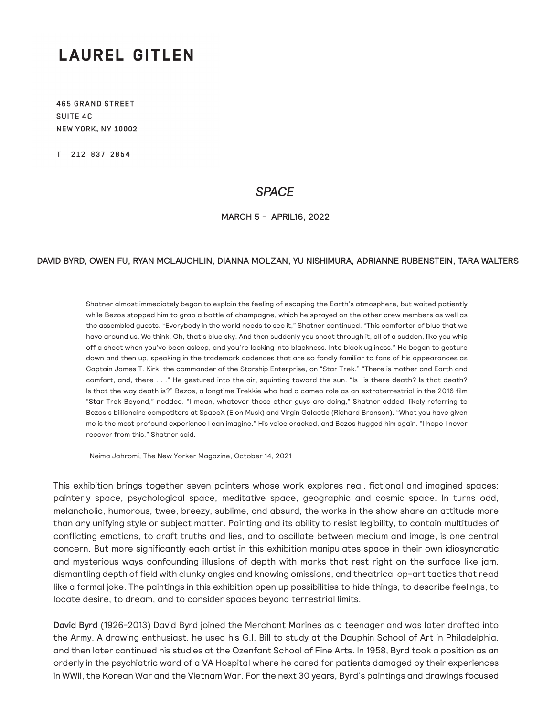## **LAUREL GITLEN**

**465 GRAND STREET** SUITE 4C **NEW YORK, NY 10002** 

T 212 837 2854

## *SPACE*

MARCH 5 - APRIL16, 2022

## DAVID BYRD, OWEN FU, RYAN MCLAUGHLIN, DIANNA MOLZAN, YU NISHIMURA, ADRIANNE RUBENSTEIN, TARA WALTERS

Shatner almost immediately began to explain the feeling of escaping the Earth's atmosphere, but waited patiently while Bezos stopped him to grab a bottle of champagne, which he sprayed on the other crew members as well as the assembled guests. "Everybody in the world needs to see it," Shatner continued. "This comforter of blue that we have around us. We think, Oh, that's blue sky. And then suddenly you shoot through it, all of a sudden, like you whip off a sheet when you've been asleep, and you're looking into blackness. Into black ugliness." He began to gesture down and then up, speaking in the trademark cadences that are so fondly familiar to fans of his appearances as Captain James T. Kirk, the commander of the Starship Enterprise, on "Star Trek." "There is mother and Earth and comfort, and, there . . ." He gestured into the air, squinting toward the sun. "Is—is there death? Is that death? Is that the way death is?" Bezos, a longtime Trekkie who had a cameo role as an extraterrestrial in the 2016 film "Star Trek Beyond," nodded. "I mean, whatever those other guys are doing," Shatner added, likely referring to Bezos's billionaire competitors at SpaceX (Elon Musk) and Virgin Galactic (Richard Branson). "What you have given me is the most profound experience I can imagine." His voice cracked, and Bezos hugged him again. "I hope I never recover from this," Shatner said.

-Neima Jahromi, The New Yorker Magazine, October 14, 2021

This exhibition brings together seven painters whose work explores real, fictional and imagined spaces: painterly space, psychological space, meditative space, geographic and cosmic space. In turns odd, melancholic, humorous, twee, breezy, sublime, and absurd, the works in the show share an attitude more than any unifying style or subject matter. Painting and its ability to resist legibility, to contain multitudes of conflicting emotions, to craft truths and lies, and to oscillate between medium and image, is one central concern. But more significantly each artist in this exhibition manipulates space in their own idiosyncratic and mysterious ways confounding illusions of depth with marks that rest right on the surface like jam, dismantling depth of field with clunky angles and knowing omissions, and theatrical op-art tactics that read like a formal joke. The paintings in this exhibition open up possibilities to hide things, to describe feelings, to locate desire, to dream, and to consider spaces beyond terrestrial limits.

David Byrd (1926-2013) David Byrd joined the Merchant Marines as a teenager and was later drafted into the Army. A drawing enthusiast, he used his G.I. Bill to study at the Dauphin School of Art in Philadelphia, and then later continued his studies at the Ozenfant School of Fine Arts. In 1958, Byrd took a position as an orderly in the psychiatric ward of a VA Hospital where he cared for patients damaged by their experiences in WWII, the Korean War and the Vietnam War. For the next 30 years, Byrd's paintings and drawings focused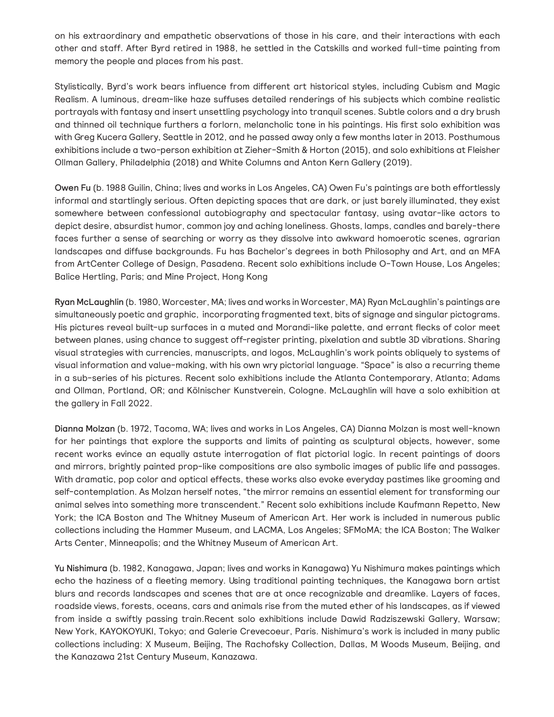on his extraordinary and empathetic observations of those in his care, and their interactions with each other and staff. After Byrd retired in 1988, he settled in the Catskills and worked full-time painting from memory the people and places from his past.

Stylistically, Byrd's work bears influence from different art historical styles, including Cubism and Magic Realism. A luminous, dream-like haze suffuses detailed renderings of his subjects which combine realistic portrayals with fantasy and insert unsettling psychology into tranquil scenes. Subtle colors and a dry brush and thinned oil technique furthers a forlorn, melancholic tone in his paintings. His first solo exhibition was with Greg Kucera Gallery, Seattle in 2012, and he passed away only a few months later in 2013. Posthumous exhibitions include a two-person exhibition at Zieher-Smith & Horton (2015), and solo exhibitions at Fleisher Ollman Gallery, Philadelphia (2018) and White Columns and Anton Kern Gallery (2019).

Owen Fu (b. 1988 Guilin, China; lives and works in Los Angeles, CA) Owen Fu's paintings are both effortlessly informal and startlingly serious. Often depicting spaces that are dark, or just barely illuminated, they exist somewhere between confessional autobiography and spectacular fantasy, using avatar-like actors to depict desire, absurdist humor, common joy and aching loneliness. Ghosts, lamps, candles and barely-there faces further a sense of searching or worry as they dissolve into awkward homoerotic scenes, agrarian landscapes and diffuse backgrounds. Fu has Bachelor's degrees in both Philosophy and Art, and an MFA from ArtCenter College of Design, Pasadena. Recent solo exhibitions include O-Town House, Los Angeles; Balice Hertling, Paris; and Mine Project, Hong Kong

Ryan McLaughlin (b. 1980, Worcester, MA; lives and works in Worcester, MA) Ryan McLaughlin's paintings are simultaneously poetic and graphic, incorporating fragmented text, bits of signage and singular pictograms. His pictures reveal built-up surfaces in a muted and Morandi-like palette, and errant flecks of color meet between planes, using chance to suggest off-register printing, pixelation and subtle 3D vibrations. Sharing visual strategies with currencies, manuscripts, and logos, McLaughlin's work points obliquely to systems of visual information and value-making, with his own wry pictorial language. "Space" is also a recurring theme in a sub-series of his pictures. Recent solo exhibitions include the Atlanta Contemporary, Atlanta; Adams and Ollman, Portland, OR; and Kölnischer Kunstverein, Cologne. McLaughlin will have a solo exhibition at the gallery in Fall 2022.

Dianna Molzan (b. 1972, Tacoma, WA; lives and works in Los Angeles, CA) Dianna Molzan is most well-known for her paintings that explore the supports and limits of painting as sculptural objects, however, some recent works evince an equally astute interrogation of flat pictorial logic. In recent paintings of doors and mirrors, brightly painted prop-like compositions are also symbolic images of public life and passages. With dramatic, pop color and optical effects, these works also evoke everyday pastimes like grooming and self-contemplation. As Molzan herself notes, "the mirror remains an essential element for transforming our animal selves into something more transcendent." Recent solo exhibitions include Kaufmann Repetto, New York; the ICA Boston and The Whitney Museum of American Art. Her work is included in numerous public collections including the Hammer Museum, and LACMA, Los Angeles; SFMoMA; the ICA Boston; The Walker Arts Center, Minneapolis; and the Whitney Museum of American Art.

Yu Nishimura (b. 1982, Kanagawa, Japan; lives and works in Kanagawa) Yu Nishimura makes paintings which echo the haziness of a fleeting memory. Using traditional painting techniques, the Kanagawa born artist blurs and records landscapes and scenes that are at once recognizable and dreamlike. Layers of faces, roadside views, forests, oceans, cars and animals rise from the muted ether of his landscapes, as if viewed from inside a swiftly passing train.Recent solo exhibitions include Dawid Radziszewski Gallery, Warsaw; New York, KAYOKOYUKI, Tokyo; and Galerie Crevecoeur, Paris. Nishimura's work is included in many public collections including: X Museum, Beijing, The Rachofsky Collection, Dallas, M Woods Museum, Beijing, and the Kanazawa 21st Century Museum, Kanazawa.